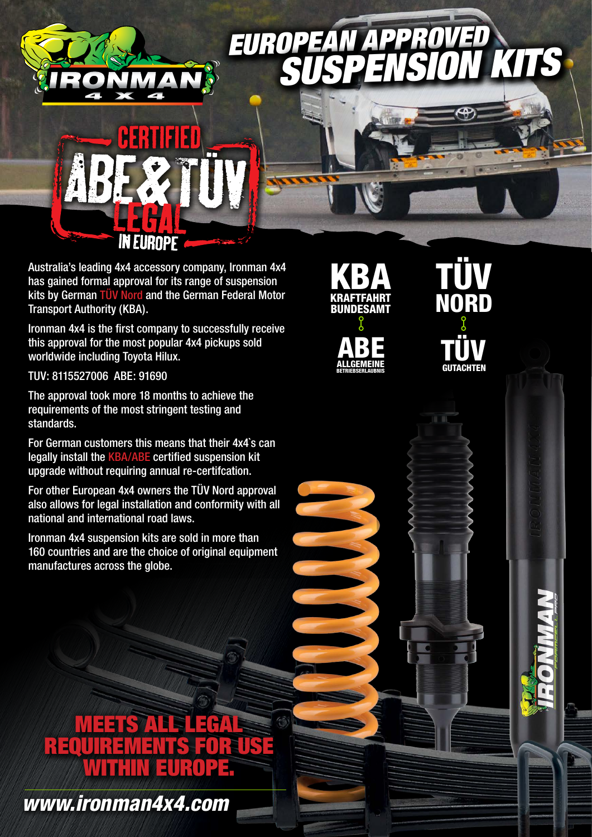## **EUROPEAN** *SUSPENSION KITS*



Australia's leading 4x4 accessory company, Ironman 4x4 has gained formal approval for its range of suspension kits by German TÜV Nord and the German Federal Motor Transport Authority (KBA).

Ironman 4x4 is the first company to successfully receive this approval for the most popular 4x4 pickups sold worldwide including Toyota Hilux.

TUV: 8115527006 ABE: 91690

The approval took more 18 months to achieve the requirements of the most stringent testing and standards.

For German customers this means that their 4x4`s can legally install the KBA/ABE certified suspension kit upgrade without requiring annual re-certifcation.

For other European 4x4 owners the TÜV Nord approval also allows for legal installation and conformity with all national and international road laws.

Ironman 4x4 suspension kits are sold in more than 160 countries and are the choice of original equipment manufactures across the globe.

## **EERS ALL SEECHA** REQUIREMENTS FOR USE WITHIN EUROPE.

*www.ironman4x4.com*





TÜV NORD TÜV **GUTACHTEN**